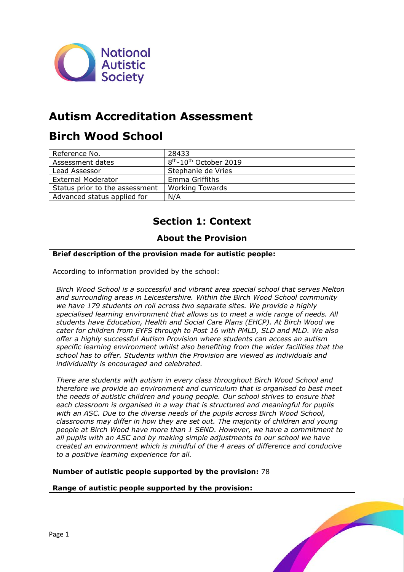

## **Autism Accreditation Assessment**

## **Birch Wood School**

| Reference No.                  | 28433                                          |
|--------------------------------|------------------------------------------------|
| Assessment dates               | 8 <sup>th</sup> -10 <sup>th</sup> October 2019 |
| Lead Assessor                  | Stephanie de Vries                             |
| <b>External Moderator</b>      | Emma Griffiths                                 |
| Status prior to the assessment | <b>Working Towards</b>                         |
| Advanced status applied for    | N/A                                            |

## **Section 1: Context**

## **About the Provision**

#### **Brief description of the provision made for autistic people:**

According to information provided by the school:

*Birch Wood School is a successful and vibrant area special school that serves Melton and surrounding areas in Leicestershire. Within the Birch Wood School community we have 179 students on roll across two separate sites. We provide a highly specialised learning environment that allows us to meet a wide range of needs. All students have Education, Health and Social Care Plans (EHCP). At Birch Wood we cater for children from EYFS through to Post 16 with PMLD, SLD and MLD. We also offer a highly successful Autism Provision where students can access an autism specific learning environment whilst also benefiting from the wider facilities that the school has to offer. Students within the Provision are viewed as individuals and individuality is encouraged and celebrated.*

*There are students with autism in every class throughout Birch Wood School and therefore we provide an environment and curriculum that is organised to best meet the needs of autistic children and young people. Our school strives to ensure that each classroom is organised in a way that is structured and meaningful for pupils with an ASC. Due to the diverse needs of the pupils across Birch Wood School, classrooms may differ in how they are set out. The majority of children and young people at Birch Wood have more than 1 SEND. However, we have a commitment to all pupils with an ASC and by making simple adjustments to our school we have created an environment which is mindful of the 4 areas of difference and conducive to a positive learning experience for all.*

**Number of autistic people supported by the provision:** 78

**Range of autistic people supported by the provision:**

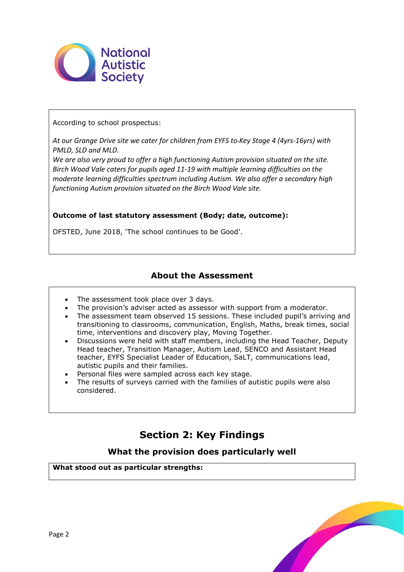

According to school prospectus:

*At our Grange Drive site we cater for children from EYFS to Key Stage 4 (4yrs-16yrs) with PMLD, SLD and MLD.*

*We are also very proud to offer a high functioning Autism provision situated on the site. Birch Wood Vale caters for pupils aged 11-19 with multiple learning difficulties on the moderate learning difficulties spectrum including Autism. We also offer a secondary high functioning Autism provision situated on the Birch Wood Vale site.*

#### **Outcome of last statutory assessment (Body; date, outcome):**

OFSTED, June 2018, 'The school continues to be Good'.

### **About the Assessment**

- The assessment took place over 3 days.
- The provision's adviser acted as assessor with support from a moderator.
- The assessment team observed 15 sessions. These included pupil's arriving and transitioning to classrooms, communication, English, Maths, break times, social time, interventions and discovery play, Moving Together.
- Discussions were held with staff members, including the Head Teacher, Deputy Head teacher, Transition Manager, Autism Lead, SENCO and Assistant Head teacher, EYFS Specialist Leader of Education, SaLT, communications lead, autistic pupils and their families.
- Personal files were sampled across each key stage.
- The results of surveys carried with the families of autistic pupils were also considered.

## **Section 2: Key Findings**

### **What the provision does particularly well**

**What stood out as particular strengths:**

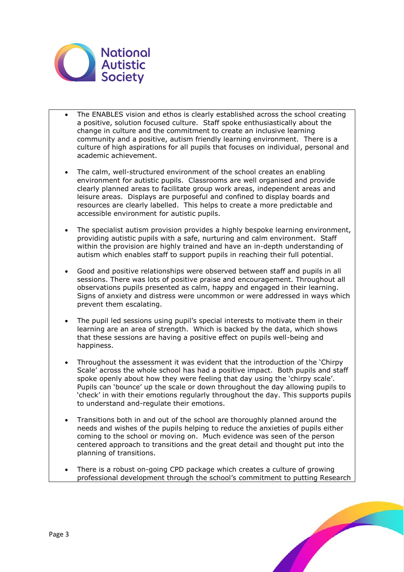

- The ENABLES vision and ethos is clearly established across the school creating a positive, solution focused culture. Staff spoke enthusiastically about the change in culture and the commitment to create an inclusive learning community and a positive, autism friendly learning environment. There is a culture of high aspirations for all pupils that focuses on individual, personal and academic achievement.
- The calm, well-structured environment of the school creates an enabling environment for autistic pupils. Classrooms are well organised and provide clearly planned areas to facilitate group work areas, independent areas and leisure areas. Displays are purposeful and confined to display boards and resources are clearly labelled. This helps to create a more predictable and accessible environment for autistic pupils.
- The specialist autism provision provides a highly bespoke learning environment, providing autistic pupils with a safe, nurturing and calm environment. Staff within the provision are highly trained and have an in-depth understanding of autism which enables staff to support pupils in reaching their full potential.
- Good and positive relationships were observed between staff and pupils in all sessions. There was lots of positive praise and encouragement. Throughout all observations pupils presented as calm, happy and engaged in their learning. Signs of anxiety and distress were uncommon or were addressed in ways which prevent them escalating.
- The pupil led sessions using pupil's special interests to motivate them in their learning are an area of strength. Which is backed by the data, which shows that these sessions are having a positive effect on pupils well-being and happiness.
- Throughout the assessment it was evident that the introduction of the 'Chirpy Scale' across the whole school has had a positive impact. Both pupils and staff spoke openly about how they were feeling that day using the 'chirpy scale'. Pupils can 'bounce' up the scale or down throughout the day allowing pupils to 'check' in with their emotions regularly throughout the day. This supports pupils to understand and-regulate their emotions.
- Transitions both in and out of the school are thoroughly planned around the needs and wishes of the pupils helping to reduce the anxieties of pupils either coming to the school or moving on. Much evidence was seen of the person centered approach to transitions and the great detail and thought put into the planning of transitions.
- There is a robust on-going CPD package which creates a culture of growing professional development through the school's commitment to putting Research

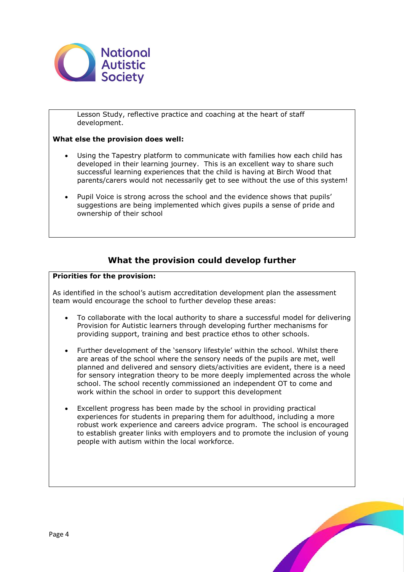

Lesson Study, reflective practice and coaching at the heart of staff development.

#### **What else the provision does well:**

- Using the Tapestry platform to communicate with families how each child has developed in their learning journey. This is an excellent way to share such successful learning experiences that the child is having at Birch Wood that parents/carers would not necessarily get to see without the use of this system!
- Pupil Voice is strong across the school and the evidence shows that pupils' suggestions are being implemented which gives pupils a sense of pride and ownership of their school

## **What the provision could develop further**

#### **Priorities for the provision:**

As identified in the school's autism accreditation development plan the assessment team would encourage the school to further develop these areas:

- To collaborate with the local authority to share a successful model for delivering Provision for Autistic learners through developing further mechanisms for providing support, training and best practice ethos to other schools.
- Further development of the 'sensory lifestyle' within the school. Whilst there are areas of the school where the sensory needs of the pupils are met, well planned and delivered and sensory diets/activities are evident, there is a need for sensory integration theory to be more deeply implemented across the whole school. The school recently commissioned an independent OT to come and work within the school in order to support this development
- Excellent progress has been made by the school in providing practical experiences for students in preparing them for adulthood, including a more robust work experience and careers advice program. The school is encouraged to establish greater links with employers and to promote the inclusion of young people with autism within the local workforce.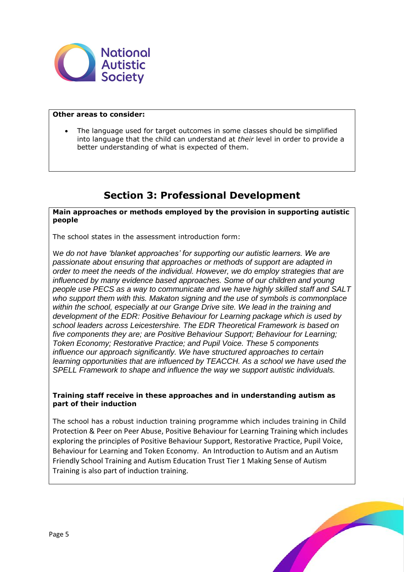

#### **Other areas to consider:**

 The language used for target outcomes in some classes should be simplified into language that the child can understand at *their* level in order to provide a better understanding of what is expected of them.

## **Section 3: Professional Development**

#### **Main approaches or methods employed by the provision in supporting autistic people**

The school states in the assessment introduction form:

W*e do not have 'blanket approaches' for supporting our autistic learners. We are passionate about ensuring that approaches or methods of support are adapted in order to meet the needs of the individual. However, we do employ strategies that are influenced by many evidence based approaches. Some of our children and young people use PECS as a way to communicate and we have highly skilled staff and SALT who support them with this. Makaton signing and the use of symbols is commonplace within the school, especially at our Grange Drive site. We lead in the training and development of the EDR: Positive Behaviour for Learning package which is used by school leaders across Leicestershire. The EDR Theoretical Framework is based on five components they are; are Positive Behaviour Support; Behaviour for Learning; Token Economy; Restorative Practice; and Pupil Voice. These 5 components influence our approach significantly. We have structured approaches to certain learning opportunities that are influenced by TEACCH. As a school we have used the SPELL Framework to shape and influence the way we support autistic individuals.* 

#### **Training staff receive in these approaches and in understanding autism as part of their induction**

The school has a robust induction training programme which includes training in Child Protection & Peer on Peer Abuse, Positive Behaviour for Learning Training which includes exploring the principles of Positive Behaviour Support, Restorative Practice, Pupil Voice, Behaviour for Learning and Token Economy. An Introduction to Autism and an Autism Friendly School Training and Autism Education Trust Tier 1 Making Sense of Autism Training is also part of induction training.

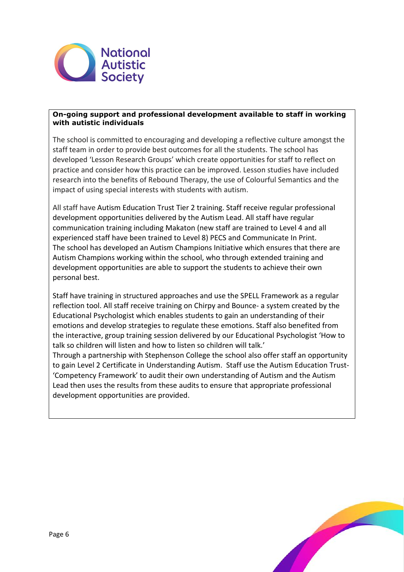

#### **On-going support and professional development available to staff in working with autistic individuals**

The school is committed to encouraging and developing a reflective culture amongst the staff team in order to provide best outcomes for all the students. The school has developed 'Lesson Research Groups' which create opportunities for staff to reflect on practice and consider how this practice can be improved. Lesson studies have included research into the benefits of Rebound Therapy, the use of Colourful Semantics and the impact of using special interests with students with autism.

All staff have Autism Education Trust Tier 2 training. Staff receive regular professional development opportunities delivered by the Autism Lead. All staff have regular communication training including Makaton (new staff are trained to Level 4 and all experienced staff have been trained to Level 8) PECS and Communicate In Print. The school has developed an Autism Champions Initiative which ensures that there are Autism Champions working within the school, who through extended training and development opportunities are able to support the students to achieve their own personal best.

Staff have training in structured approaches and use the SPELL Framework as a regular reflection tool. All staff receive training on Chirpy and Bounce- a system created by the Educational Psychologist which enables students to gain an understanding of their emotions and develop strategies to regulate these emotions. Staff also benefited from the interactive, group training session delivered by our Educational Psychologist 'How to talk so children will listen and how to listen so children will talk.'

Through a partnership with Stephenson College the school also offer staff an opportunity to gain Level 2 Certificate in Understanding Autism. Staff use the Autism Education Trust- 'Competency Framework' to audit their own understanding of Autism and the Autism Lead then uses the results from these audits to ensure that appropriate professional development opportunities are provided.

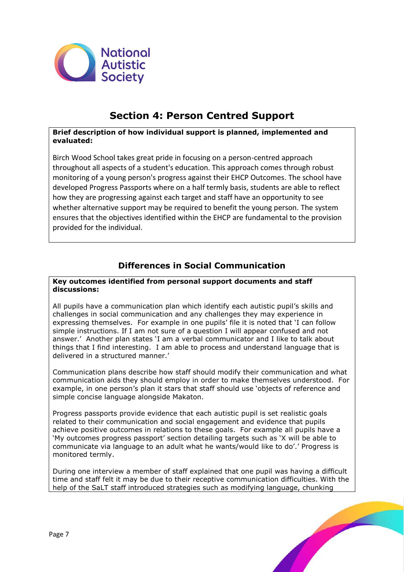

## **Section 4: Person Centred Support**

#### **Brief description of how individual support is planned, implemented and evaluated:**

Birch Wood School takes great pride in focusing on a person-centred approach throughout all aspects of a student's education. This approach comes through robust monitoring of a young person's progress against their EHCP Outcomes. The school have developed Progress Passports where on a half termly basis, students are able to reflect how they are progressing against each target and staff have an opportunity to see whether alternative support may be required to benefit the young person. The system ensures that the objectives identified within the EHCP are fundamental to the provision provided for the individual.

## **Differences in Social Communication**

#### **Key outcomes identified from personal support documents and staff discussions:**

All pupils have a communication plan which identify each autistic pupil's skills and challenges in social communication and any challenges they may experience in expressing themselves. For example in one pupils' file it is noted that 'I can follow simple instructions. If I am not sure of a question I will appear confused and not answer.' Another plan states 'I am a verbal communicator and I like to talk about things that I find interesting. I am able to process and understand language that is delivered in a structured manner.'

Communication plans describe how staff should modify their communication and what communication aids they should employ in order to make themselves understood. For example, in one person's plan it stars that staff should use 'objects of reference and simple concise language alongside Makaton.

Progress passports provide evidence that each autistic pupil is set realistic goals related to their communication and social engagement and evidence that pupils achieve positive outcomes in relations to these goals. For example all pupils have a 'My outcomes progress passport' section detailing targets such as 'X will be able to communicate via language to an adult what he wants/would like to do'.' Progress is monitored termly.

During one interview a member of staff explained that one pupil was having a difficult time and staff felt it may be due to their receptive communication difficulties. With the help of the SaLT staff introduced strategies such as modifying language, chunking

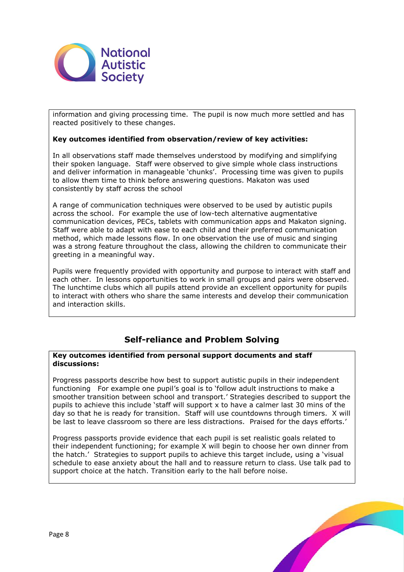

information and giving processing time. The pupil is now much more settled and has reacted positively to these changes.

#### **Key outcomes identified from observation/review of key activities:**

In all observations staff made themselves understood by modifying and simplifying their spoken language. Staff were observed to give simple whole class instructions and deliver information in manageable 'chunks'. Processing time was given to pupils to allow them time to think before answering questions. Makaton was used consistently by staff across the school

A range of communication techniques were observed to be used by autistic pupils across the school. For example the use of low-tech alternative augmentative communication devices, PECs, tablets with communication apps and Makaton signing. Staff were able to adapt with ease to each child and their preferred communication method, which made lessons flow. In one observation the use of music and singing was a strong feature throughout the class, allowing the children to communicate their greeting in a meaningful way.

Pupils were frequently provided with opportunity and purpose to interact with staff and each other. In lessons opportunities to work in small groups and pairs were observed. The lunchtime clubs which all pupils attend provide an excellent opportunity for pupils to interact with others who share the same interests and develop their communication and interaction skills.

### **Self-reliance and Problem Solving**

#### **Key outcomes identified from personal support documents and staff discussions:**

Progress passports describe how best to support autistic pupils in their independent functioning For example one pupil's goal is to 'follow adult instructions to make a smoother transition between school and transport.' Strategies described to support the pupils to achieve this include 'staff will support x to have a calmer last 30 mins of the day so that he is ready for transition. Staff will use countdowns through timers. X will be last to leave classroom so there are less distractions. Praised for the days efforts.'

Progress passports provide evidence that each pupil is set realistic goals related to their independent functioning; for example X will begin to choose her own dinner from the hatch.' Strategies to support pupils to achieve this target include, using a 'visual schedule to ease anxiety about the hall and to reassure return to class. Use talk pad to support choice at the hatch. Transition early to the hall before noise.

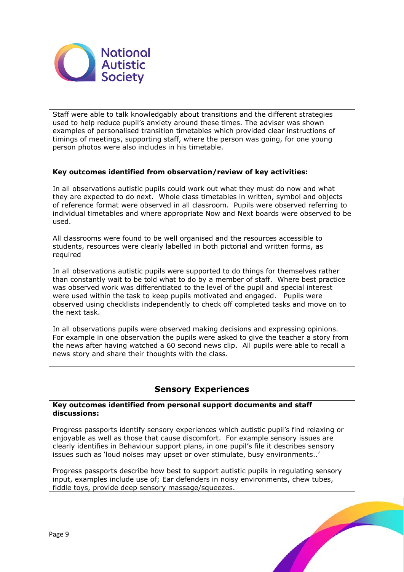

Staff were able to talk knowledgably about transitions and the different strategies used to help reduce pupil's anxiety around these times. The adviser was shown examples of personalised transition timetables which provided clear instructions of timings of meetings, supporting staff, where the person was going, for one young person photos were also includes in his timetable.

#### **Key outcomes identified from observation/review of key activities:**

In all observations autistic pupils could work out what they must do now and what they are expected to do next. Whole class timetables in written, symbol and objects of reference format were observed in all classroom. Pupils were observed referring to individual timetables and where appropriate Now and Next boards were observed to be used.

All classrooms were found to be well organised and the resources accessible to students, resources were clearly labelled in both pictorial and written forms, as required

In all observations autistic pupils were supported to do things for themselves rather than constantly wait to be told what to do by a member of staff. Where best practice was observed work was differentiated to the level of the pupil and special interest were used within the task to keep pupils motivated and engaged. Pupils were observed using checklists independently to check off completed tasks and move on to the next task.

In all observations pupils were observed making decisions and expressing opinions. For example in one observation the pupils were asked to give the teacher a story from the news after having watched a 60 second news clip. All pupils were able to recall a news story and share their thoughts with the class.

### **Sensory Experiences**

#### **Key outcomes identified from personal support documents and staff discussions:**

Progress passports identify sensory experiences which autistic pupil's find relaxing or enjoyable as well as those that cause discomfort. For example sensory issues are clearly identifies in Behaviour support plans, in one pupil's file it describes sensory issues such as 'loud noises may upset or over stimulate, busy environments..'

Progress passports describe how best to support autistic pupils in regulating sensory input, examples include use of; Ear defenders in noisy environments, chew tubes, fiddle toys, provide deep sensory massage/squeezes.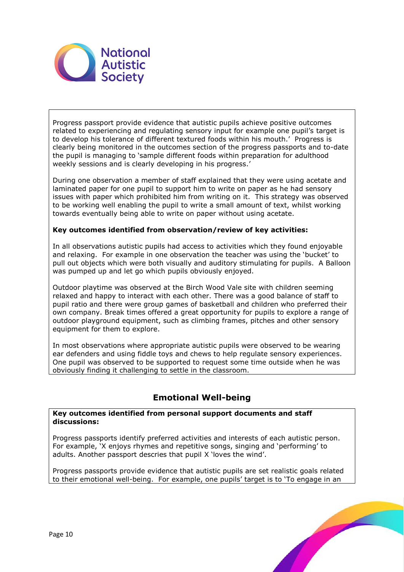

Progress passport provide evidence that autistic pupils achieve positive outcomes related to experiencing and regulating sensory input for example one pupil's target is to develop his tolerance of different textured foods within his mouth.' Progress is clearly being monitored in the outcomes section of the progress passports and to-date the pupil is managing to 'sample different foods within preparation for adulthood weekly sessions and is clearly developing in his progress.'

During one observation a member of staff explained that they were using acetate and laminated paper for one pupil to support him to write on paper as he had sensory issues with paper which prohibited him from writing on it. This strategy was observed to be working well enabling the pupil to write a small amount of text, whilst working towards eventually being able to write on paper without using acetate.

#### **Key outcomes identified from observation/review of key activities:**

In all observations autistic pupils had access to activities which they found enjoyable and relaxing. For example in one observation the teacher was using the 'bucket' to pull out objects which were both visually and auditory stimulating for pupils. A Balloon was pumped up and let go which pupils obviously enjoyed.

Outdoor playtime was observed at the Birch Wood Vale site with children seeming relaxed and happy to interact with each other. There was a good balance of staff to pupil ratio and there were group games of basketball and children who preferred their own company. Break times offered a great opportunity for pupils to explore a range of outdoor playground equipment, such as climbing frames, pitches and other sensory equipment for them to explore.

In most observations where appropriate autistic pupils were observed to be wearing ear defenders and using fiddle toys and chews to help regulate sensory experiences. One pupil was observed to be supported to request some time outside when he was obviously finding it challenging to settle in the classroom.

### **Emotional Well-being**

#### **Key outcomes identified from personal support documents and staff discussions:**

Progress passports identify preferred activities and interests of each autistic person. For example, 'X enjoys rhymes and repetitive songs, singing and 'performing' to adults. Another passport descries that pupil X 'loves the wind'.

Progress passports provide evidence that autistic pupils are set realistic goals related to their emotional well-being. For example, one pupils' target is to 'To engage in an

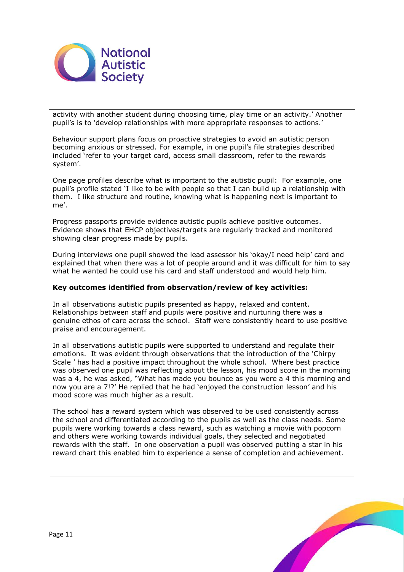

activity with another student during choosing time, play time or an activity.' Another pupil's is to 'develop relationships with more appropriate responses to actions.'

Behaviour support plans focus on proactive strategies to avoid an autistic person becoming anxious or stressed. For example, in one pupil's file strategies described included 'refer to your target card, access small classroom, refer to the rewards system'.

One page profiles describe what is important to the autistic pupil: For example, one pupil's profile stated 'I like to be with people so that I can build up a relationship with them. I like structure and routine, knowing what is happening next is important to me'.

Progress passports provide evidence autistic pupils achieve positive outcomes. Evidence shows that EHCP objectives/targets are regularly tracked and monitored showing clear progress made by pupils.

During interviews one pupil showed the lead assessor his 'okay/I need help' card and explained that when there was a lot of people around and it was difficult for him to say what he wanted he could use his card and staff understood and would help him.

#### **Key outcomes identified from observation/review of key activities:**

In all observations autistic pupils presented as happy, relaxed and content. Relationships between staff and pupils were positive and nurturing there was a genuine ethos of care across the school. Staff were consistently heard to use positive praise and encouragement.

In all observations autistic pupils were supported to understand and regulate their emotions. It was evident through observations that the introduction of the 'Chirpy Scale ' has had a positive impact throughout the whole school. Where best practice was observed one pupil was reflecting about the lesson, his mood score in the morning was a 4, he was asked, "What has made you bounce as you were a 4 this morning and now you are a 7!?' He replied that he had 'enjoyed the construction lesson' and his mood score was much higher as a result.

The school has a reward system which was observed to be used consistently across the school and differentiated according to the pupils as well as the class needs. Some pupils were working towards a class reward, such as watching a movie with popcorn and others were working towards individual goals, they selected and negotiated rewards with the staff. In one observation a pupil was observed putting a star in his reward chart this enabled him to experience a sense of completion and achievement.

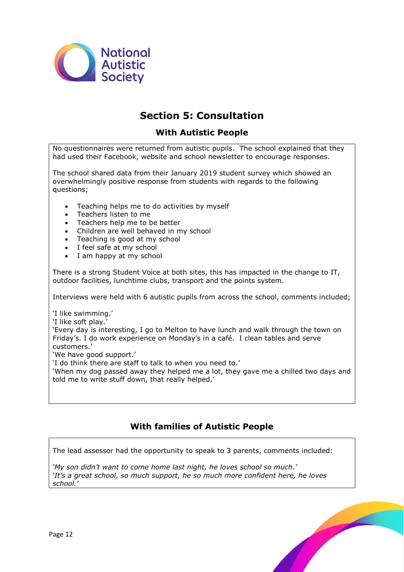

## **Section 5: Consultation**

### **With Autistic People**

No questionnaires were returned from autistic pupils. The school explained that they had used their Facebook, website and school newsletter to encourage responses.

The school shared data from their January 2019 student survey which showed an overwhelmingly positive response from students with regards to the following questions;

- Teaching helps me to do activities by myself
- Teachers listen to me
- Teachers help me to be better
- Children are well behaved in my school
- Teaching is good at my school
- I feel safe at my school
- I am happy at my school

There is a strong Student Voice at both sites, this has impacted in the change to IT, outdoor facilities, lunchtime clubs, transport and the points system.

Interviews were held with 6 autistic pupils from across the school, comments included;

'I like swimming.'

'I like soft play.'

'Every day is interesting, I go to Melton to have lunch and walk through the town on Friday's. I do work experience on Monday's in a café. I clean tables and serve customers.'

'We have good support.'

'I do think there are staff to talk to when you need to.'

'When my dog passed away they helped me a lot, they gave me a chilled two days and told me to write stuff down, that really helped.'

## **With families of Autistic People**

The lead assessor had the opportunity to speak to 3 parents, comments included:

*'My son didn't want to come home last night, he loves school so much.' 'It's a great school, so much support, he so much more confident here, he loves school.'*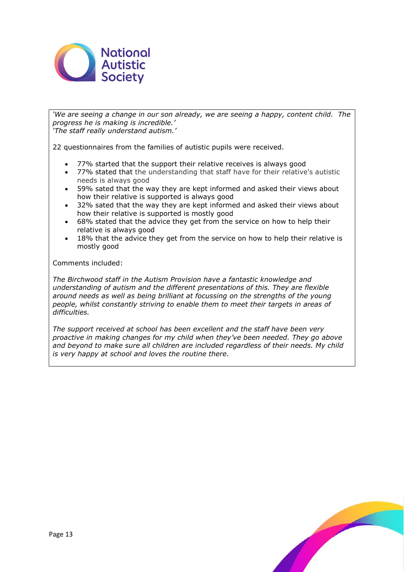

*'We are seeing a change in our son already, we are seeing a happy, content child. The progress he is making is incredible.' 'The staff really understand autism.'*

22 questionnaires from the families of autistic pupils were received.

- 77% started that the support their relative receives is always good
- 77% stated that the understanding that staff have for their relative's autistic needs is always good
- 59% sated that the way they are kept informed and asked their views about how their relative is supported is always good
- 32% sated that the way they are kept informed and asked their views about how their relative is supported is mostly good
- 68% stated that the advice they get from the service on how to help their relative is always good
- 18% that the advice they get from the service on how to help their relative is mostly good

Comments included:

*The Birchwood staff in the Autism Provision have a fantastic knowledge and understanding of autism and the different presentations of this. They are flexible around needs as well as being brilliant at focussing on the strengths of the young people, whilst constantly striving to enable them to meet their targets in areas of difficulties.*

*The support received at school has been excellent and the staff have been very proactive in making changes for my child when they've been needed. They go above and beyond to make sure all children are included regardless of their needs. My child is very happy at school and loves the routine there.*

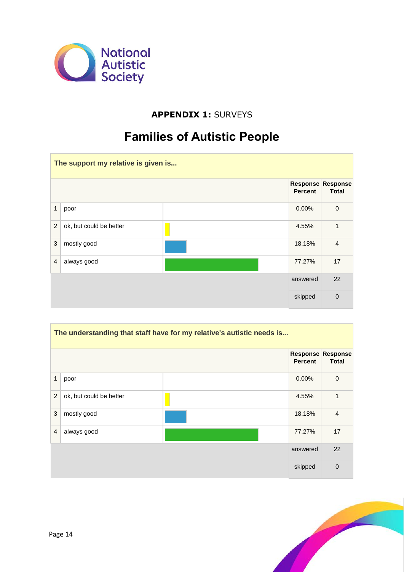

## **APPENDIX 1:** SURVEYS

# **Families of Autistic People**

| The support my relative is given is |                         |  |                |                                          |
|-------------------------------------|-------------------------|--|----------------|------------------------------------------|
|                                     |                         |  | <b>Percent</b> | <b>Response Response</b><br><b>Total</b> |
| $\mathbf{1}$                        | poor                    |  | $0.00\%$       | $\mathbf 0$                              |
| $\overline{2}$                      | ok, but could be better |  | 4.55%          | 1                                        |
| 3                                   | mostly good             |  | 18.18%         | $\overline{4}$                           |
| $\overline{4}$                      | always good             |  | 77.27%         | 17                                       |
|                                     |                         |  | answered       | 22                                       |
|                                     |                         |  | skipped        | $\overline{0}$                           |

| The understanding that staff have for my relative's autistic needs is |                         |  |                |                                          |
|-----------------------------------------------------------------------|-------------------------|--|----------------|------------------------------------------|
|                                                                       |                         |  | <b>Percent</b> | <b>Response Response</b><br><b>Total</b> |
| 1                                                                     | poor                    |  | 0.00%          | $\mathbf 0$                              |
| 2                                                                     | ok, but could be better |  | 4.55%          | 1                                        |
| 3                                                                     | mostly good             |  | 18.18%         | $\overline{4}$                           |
| $\overline{4}$                                                        | always good             |  | 77.27%         | 17                                       |
|                                                                       |                         |  | answered       | 22                                       |
|                                                                       |                         |  | skipped        | $\mathbf 0$                              |

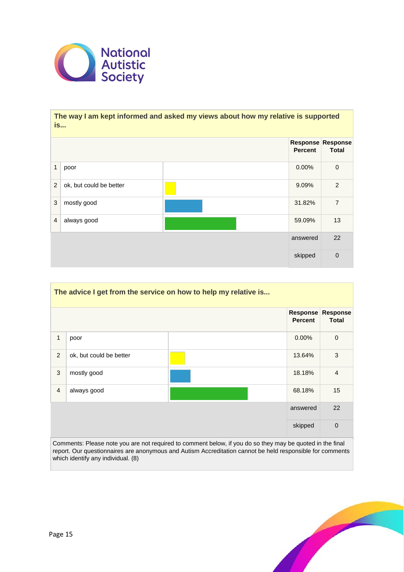

#### **The way I am kept informed and asked my views about how my relative is supported is...**

|                |                         | <b>Percent</b> | Response Response<br><b>Total</b> |
|----------------|-------------------------|----------------|-----------------------------------|
| $\mathbf{1}$   | poor                    | 0.00%          | $\boldsymbol{0}$                  |
| $\overline{2}$ | ok, but could be better | 9.09%          | 2                                 |
| $\mathbf{3}$   | mostly good             | 31.82%         | $\overline{7}$                    |
| $\overline{4}$ | always good             | 59.09%         | 13                                |
|                |                         | answered       | 22                                |
|                |                         | skipped        | $\mathbf 0$                       |

| The advice I get from the service on how to help my relative is |                         |  |                                   |                                 |
|-----------------------------------------------------------------|-------------------------|--|-----------------------------------|---------------------------------|
|                                                                 |                         |  | <b>Response</b><br><b>Percent</b> | <b>Response</b><br><b>Total</b> |
| 1                                                               | poor                    |  | $0.00\%$                          | $\mathbf 0$                     |
| 2                                                               | ok, but could be better |  | 13.64%                            | 3                               |
| 3                                                               | mostly good             |  | 18.18%                            | $\overline{4}$                  |
| $\overline{4}$                                                  | always good             |  | 68.18%                            | 15                              |
|                                                                 |                         |  | answered                          | 22                              |
|                                                                 |                         |  | skipped                           | $\mathbf 0$                     |

Comments: Please note you are not required to comment below, if you do so they may be quoted in the final report. Our questionnaires are anonymous and Autism Accreditation cannot be held responsible for comments which identify any individual. (8)